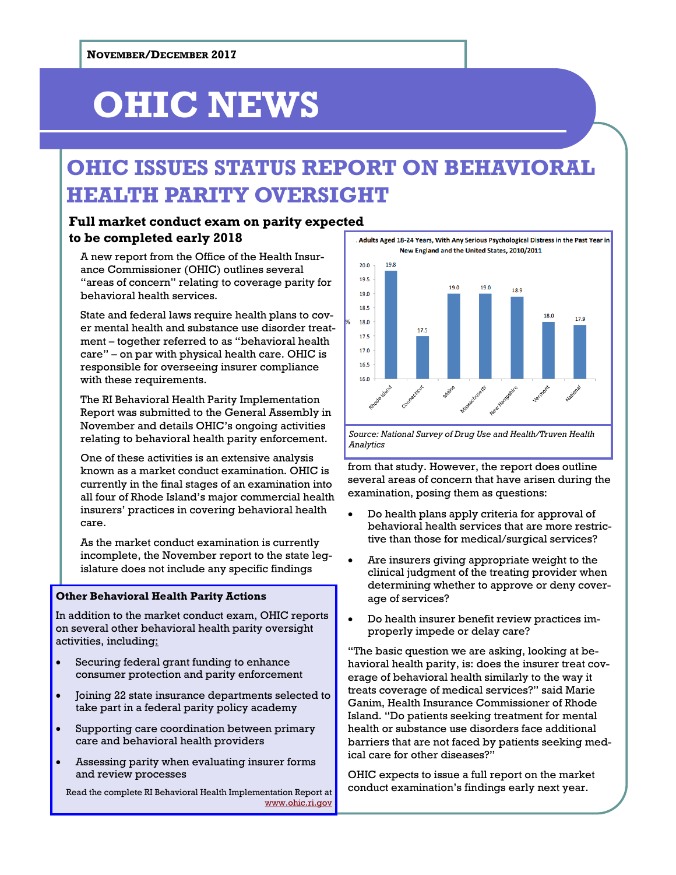# **OHIC NEWS**

### **OHIC ISSUES STATUS REPORT ON BEHAVIORAL HEALTH PARITY OVERSIGHT**

### **Full market conduct exam on parity expected to be completed early 2018**

A new report from the Office of the Health Insurance Commissioner (OHIC) outlines several "areas of concern" relating to coverage parity for behavioral health services.

State and federal laws require health plans to cover mental health and substance use disorder treatment – together referred to as "behavioral health care" – on par with physical health care. OHIC is responsible for overseeing insurer compliance with these requirements.

The RI Behavioral Health Parity Implementation Report was submitted to the General Assembly in November and details OHIC's ongoing activities relating to behavioral health parity enforcement.

One of these activities is an extensive analysis known as a market conduct examination. OHIC is currently in the final stages of an examination into all four of Rhode Island's major commercial health insurers' practices in covering behavioral health care.

As the market conduct examination is currently incomplete, the November report to the state legislature does not include any specific findings

#### **Other Behavioral Health Parity Actions**

In addition to the market conduct exam, OHIC reports on several other behavioral health parity oversight activities, including:

- Securing federal grant funding to enhance consumer protection and parity enforcement
- Joining 22 state insurance departments selected to take part in a federal parity policy academy
- Supporting care coordination between primary care and behavioral health providers
- Assessing parity when evaluating insurer forms and review processes

Read the complete RI Behavioral Health Implementation Report at [www.ohic.ri.gov](http://www.ohic.ri.gov/ohic-press.php)

Adults Aged 18-24 Years, With Any Serious Psychological Distress in the Past Year in New England and the United States, 2010/2011



*Source: National Survey of Drug Use and Health/Truven Health Analytics*

from that study. However, the report does outline several areas of concern that have arisen during the examination, posing them as questions:

- Do health plans apply criteria for approval of behavioral health services that are more restrictive than those for medical/surgical services?
- Are insurers giving appropriate weight to the clinical judgment of the treating provider when determining whether to approve or deny coverage of services?
- Do health insurer benefit review practices improperly impede or delay care?

"The basic question we are asking, looking at behavioral health parity, is: does the insurer treat coverage of behavioral health similarly to the way it treats coverage of medical services?" said Marie Ganim, Health Insurance Commissioner of Rhode Island. "Do patients seeking treatment for mental health or substance use disorders face additional barriers that are not faced by patients seeking medical care for other diseases?"

OHIC expects to issue a full report on the market conduct examination's findings early next year.